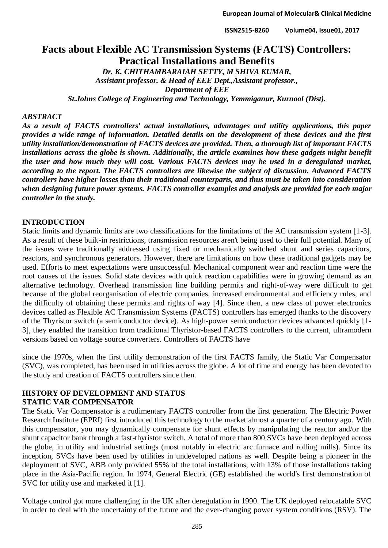# **Facts about Flexible AC Transmission Systems (FACTS) Controllers: Practical Installations and Benefits**

*Dr. K. CHITHAMBARAIAH SETTY, M SHIVA KUMAR, Assistant professor. & Head of EEE Dept.,Assistant professor., Department of EEE St.Johns College of Engineering and Technology, Yemmiganur, Kurnool (Dist).*

#### *ABSTRACT*

*As a result of FACTS controllers' actual installations, advantages and utility applications, this paper provides a wide range of information. Detailed details on the development of these devices and the first utility installation/demonstration of FACTS devices are provided. Then, a thorough list of important FACTS installations across the globe is shown. Additionally, the article examines how these gadgets might benefit the user and how much they will cost. Various FACTS devices may be used in a deregulated market, according to the report. The FACTS controllers are likewise the subject of discussion. Advanced FACTS controllers have higher losses than their traditional counterparts, and thus must be taken into consideration when designing future power systems. FACTS controller examples and analysis are provided for each major controller in the study.*

#### **INTRODUCTION**

Static limits and dynamic limits are two classifications for the limitations of the AC transmission system [1-3]. As a result of these built-in restrictions, transmission resources aren't being used to their full potential. Many of the issues were traditionally addressed using fixed or mechanically switched shunt and series capacitors, reactors, and synchronous generators. However, there are limitations on how these traditional gadgets may be used. Efforts to meet expectations were unsuccessful. Mechanical component wear and reaction time were the root causes of the issues. Solid state devices with quick reaction capabilities were in growing demand as an alternative technology. Overhead transmission line building permits and right-of-way were difficult to get because of the global reorganisation of electric companies, increased environmental and efficiency rules, and the difficulty of obtaining these permits and rights of way [4]. Since then, a new class of power electronics devices called as Flexible AC Transmission Systems (FACTS) controllers has emerged thanks to the discovery of the Thyristor switch (a semiconductor device). As high-power semiconductor devices advanced quickly [1- 3], they enabled the transition from traditional Thyristor-based FACTS controllers to the current, ultramodern versions based on voltage source converters. Controllers of FACTS have

since the 1970s, when the first utility demonstration of the first FACTS family, the Static Var Compensator (SVC), was completed, has been used in utilities across the globe. A lot of time and energy has been devoted to the study and creation of FACTS controllers since then.

# **HISTORY OF DEVELOPMENT AND STATUS**

#### **STATIC VAR COMPENSATOR**

The Static Var Compensator is a rudimentary FACTS controller from the first generation. The Electric Power Research Institute (EPRI) first introduced this technology to the market almost a quarter of a century ago. With this compensator, you may dynamically compensate for shunt effects by manipulating the reactor and/or the shunt capacitor bank through a fast-thyristor switch. A total of more than 800 SVCs have been deployed across the globe, in utility and industrial settings (most notably in electric arc furnace and rolling mills). Since its inception, SVCs have been used by utilities in undeveloped nations as well. Despite being a pioneer in the deployment of SVC, ABB only provided 55% of the total installations, with 13% of those installations taking place in the Asia-Pacific region. In 1974, General Electric (GE) established the world's first demonstration of SVC for utility use and marketed it [1].

Voltage control got more challenging in the UK after deregulation in 1990. The UK deployed relocatable SVC in order to deal with the uncertainty of the future and the ever-changing power system conditions (RSV). The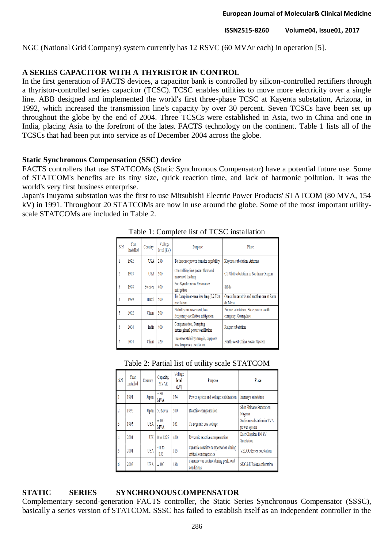NGC (National Grid Company) system currently has 12 RSVC (60 MVAr each) in operation [5].

# **A SERIES CAPACITOR WITH A THYRISTOR IN CONTROL**

In the first generation of FACTS devices, a capacitor bank is controlled by silicon-controlled rectifiers through a thyristor-controlled series capacitor (TCSC). TCSC enables utilities to move more electricity over a single line. ABB designed and implemented the world's first three-phase TCSC at Kayenta substation, Arizona, in 1992, which increased the transmission line's capacity by over 30 percent. Seven TCSCs have been set up throughout the globe by the end of 2004. Three TCSCs were established in Asia, two in China and one in India, placing Asia to the forefront of the latest FACTS technology on the continent. Table 1 lists all of the TCSCs that had been put into service as of December 2004 across the globe.

#### **Static Synchronous Compensation (SSC) device**

FACTS controllers that use STATCOMs (Static Synchronous Compensator) have a potential future use. Some of STATCOM's benefits are its tiny size, quick reaction time, and lack of harmonic pollution. It was the world's very first business enterprise.

Japan's Inuyama substation was the first to use Mitsubishi Electric Power Products' STATCOM (80 MVA, 154 kV) in 1991. Throughout 20 STATCOMs are now in use around the globe. Some of the most important utilityscale STATCOMs are included in Table 2.

| S.N | Year<br>Installed | Country       | Voltage<br>level (kV) | Purpose                                                          | Place                                                      |
|-----|-------------------|---------------|-----------------------|------------------------------------------------------------------|------------------------------------------------------------|
|     | 1992              | USA           | 230                   | To increase power transfer capability                            | Kayenta substation, Arizona                                |
|     | 1993              | <b>USA</b>    | 500                   | Controlling line power flow and<br>increased loading             | C.J.Slatt substation in Northern Oregon                    |
| 3   | 1998              | Sweden        | 400                   | Sub Synchronous Resonance<br>mitigation                          | Stöde                                                      |
| 4   | 1999              | <b>Brazil</b> | 500                   | To damp inter-area low freq (0.2 Hz)<br>oscillation              | One at Imperatriz and another one at Sarra<br>de Mesa      |
| 5   | 2002              | China         | 500                   | Stability improvement, low-<br>frequency oscillation mitigation  | Pinguo substation, State power south<br>company, Guangzhou |
| 6   | 2004              | India         | 400                   | Compensation, Damping<br>interregional power oscillation         | Raipur substation                                          |
|     | 2004              | China         | 220                   | Increase Stability margin, suppress<br>low frequency oscillation | North-West China Power System                              |

#### Table 1: Complete list of TCSC installation

#### Table 2: Partial list of utility scale STATCOM

| S.N | Year<br><b>Installed</b> | Country    | Capacity,<br><b>MVAR</b> | Voltage<br>level<br>(kV) | Purpose                                                        | Place                                      |
|-----|--------------------------|------------|--------------------------|--------------------------|----------------------------------------------------------------|--------------------------------------------|
|     | 1991                     | Japan      | ± 80<br><b>MVA</b>       | 154                      | Power system and voltage stabilization                         | Inumaya substation                         |
|     | 1992                     | Japan      | 50 MVA                   | 500                      | Reactive compensation                                          | Shin Shinano Substation.<br>Nagona         |
| 3   | 1995                     | <b>USA</b> | ±100<br><b>MVA</b>       | 161                      | To regulate bus voltage                                        | Sullivan substation in TVA<br>power system |
| 4   | 2001                     | UK         | $0 to +225$              | 400                      | Dynamic reactive compensation                                  | East Claydon 400 kV<br>Substation          |
| 5   | 2001                     | <b>USA</b> | $-41$ to<br>$+133$       | 115                      | dynamic reactive compensation during<br>critical contingencies | VELCO Essex substation                     |
| 6   | 2003                     | <b>USA</b> | ±100                     | 138                      | dynamic var control during peak load<br>conditions             | SDG&E Talega substation                    |

### **STATIC SERIES SYNCHRONOUSCOMPENSATOR**

Complementary second-generation FACTS controller, the Static Series Synchronous Compensator (SSSC), basically a series version of STATCOM. SSSC has failed to establish itself as an independent controller in the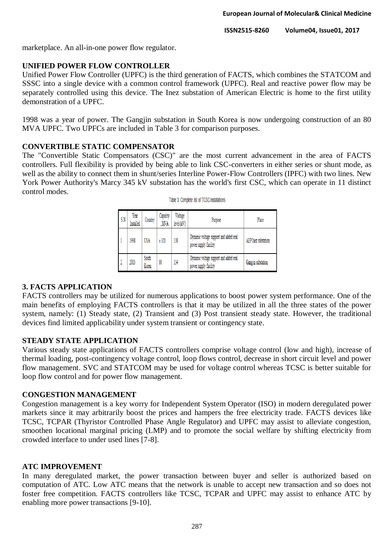marketplace. An all-in-one power flow regulator.

### **UNIFIED POWER FLOW CONTROLLER**

Unified Power Flow Controller (UPFC) is the third generation of FACTS, which combines the STATCOM and SSSC into a single device with a common control framework (UPFC). Real and reactive power flow may be separately controlled using this device. The Inez substation of American Electric is home to the first utility demonstration of a UPFC.

1998 was a year of power. The Gangjin substation in South Korea is now undergoing construction of an 80 MVA UPFC. Two UPFCs are included in Table 3 for comparison purposes.

### **CONVERTIBLE STATIC COMPENSATOR**

The "Convertible Static Compensators (CSC)" are the most current advancement in the area of FACTS controllers. Full flexibility is provided by being able to link CSC-converters in either series or shunt mode, as well as the ability to connect them in shunt/series Interline Power-Flow Controllers (IPFC) with two lines. New York Power Authority's Marcy 345 kV substation has the world's first CSC, which can operate in 11 distinct control modes.

| S.N | Year<br>Installed | Country        | Capacity<br>MVA | Voltage<br>level (kV) | Purpose                                                         | Place               |
|-----|-------------------|----------------|-----------------|-----------------------|-----------------------------------------------------------------|---------------------|
|     | 1998              | USA            | ± 320           | 138                   | Dynamic voltage support and added real<br>power supply facility | AEP Inez substation |
|     | 2003              | South<br>Korea | 80              | 154                   | Dynamic voltage support and added real<br>power supply facility | Gangjin substation  |

|  | Table 3: Complete list of TCSC installations |
|--|----------------------------------------------|
|--|----------------------------------------------|

### **3. FACTS APPLICATION**

FACTS controllers may be utilized for numerous applications to boost power system performance. One of the main benefits of employing FACTS controllers is that it may be utilized in all the three states of the power system, namely: (1) Steady state, (2) Transient and (3) Post transient steady state. However, the traditional devices find limited applicability under system transient or contingency state.

### **STEADY STATE APPLICATION**

Various steady state applications of FACTS controllers comprise voltage control (low and high), increase of thermal loading, post-contingency voltage control, loop flows control, decrease in short circuit level and power flow management. SVC and STATCOM may be used for voltage control whereas TCSC is better suitable for loop flow control and for power flow management.

### **CONGESTION MANAGEMENT**

Congestion management is a key worry for Independent System Operator (ISO) in modern deregulated power markets since it may arbitrarily boost the prices and hampers the free electricity trade. FACTS devices like TCSC, TCPAR (Thyristor Controlled Phase Angle Regulator) and UPFC may assist to alleviate congestion, smoothen locational marginal pricing (LMP) and to promote the social welfare by shifting electricity from crowded interface to under used lines [7-8].

# **ATC IMPROVEMENT**

In many deregulated market, the power transaction between buyer and seller is authorized based on computation of ATC. Low ATC means that the network is unable to accept new transaction and so does not foster free competition. FACTS controllers like TCSC, TCPAR and UPFC may assist to enhance ATC by enabling more power transactions [9-10].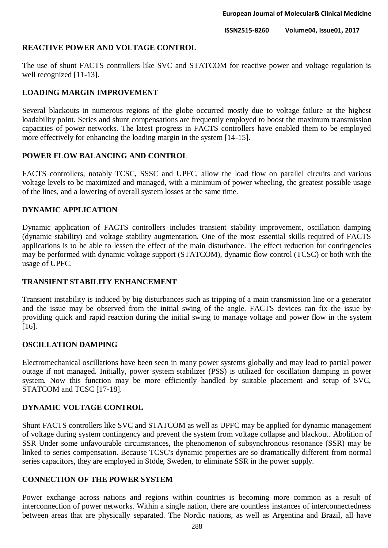### **REACTIVE POWER AND VOLTAGE CONTROL**

The use of shunt FACTS controllers like SVC and STATCOM for reactive power and voltage regulation is well recognized [11-13].

### **LOADING MARGIN IMPROVEMENT**

Several blackouts in numerous regions of the globe occurred mostly due to voltage failure at the highest loadability point. Series and shunt compensations are frequently employed to boost the maximum transmission capacities of power networks. The latest progress in FACTS controllers have enabled them to be employed more effectively for enhancing the loading margin in the system [14-15].

### **POWER FLOW BALANCING AND CONTROL**

FACTS controllers, notably TCSC, SSSC and UPFC, allow the load flow on parallel circuits and various voltage levels to be maximized and managed, with a minimum of power wheeling, the greatest possible usage of the lines, and a lowering of overall system losses at the same time.

### **DYNAMIC APPLICATION**

Dynamic application of FACTS controllers includes transient stability improvement, oscillation damping (dynamic stability) and voltage stability augmentation. One of the most essential skills required of FACTS applications is to be able to lessen the effect of the main disturbance. The effect reduction for contingencies may be performed with dynamic voltage support (STATCOM), dynamic flow control (TCSC) or both with the usage of UPFC.

### **TRANSIENT STABILITY ENHANCEMENT**

Transient instability is induced by big disturbances such as tripping of a main transmission line or a generator and the issue may be observed from the initial swing of the angle. FACTS devices can fix the issue by providing quick and rapid reaction during the initial swing to manage voltage and power flow in the system [16].

### **OSCILLATION DAMPING**

Electromechanical oscillations have been seen in many power systems globally and may lead to partial power outage if not managed. Initially, power system stabilizer (PSS) is utilized for oscillation damping in power system. Now this function may be more efficiently handled by suitable placement and setup of SVC, STATCOM and TCSC [17-18].

# **DYNAMIC VOLTAGE CONTROL**

Shunt FACTS controllers like SVC and STATCOM as well as UPFC may be applied for dynamic management of voltage during system contingency and prevent the system from voltage collapse and blackout. Abolition of SSR Under some unfavourable circumstances, the phenomenon of subsynchronous resonance (SSR) may be linked to series compensation. Because TCSC's dynamic properties are so dramatically different from normal series capacitors, they are employed in Stöde, Sweden, to eliminate SSR in the power supply.

### **CONNECTION OF THE POWER SYSTEM**

Power exchange across nations and regions within countries is becoming more common as a result of interconnection of power networks. Within a single nation, there are countless instances of interconnectedness between areas that are physically separated. The Nordic nations, as well as Argentina and Brazil, all have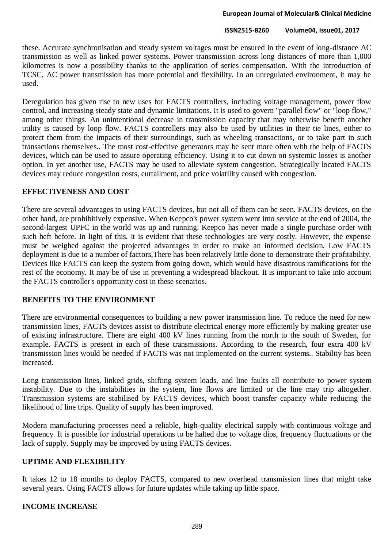these. Accurate synchronisation and steady system voltages must be ensured in the event of long-distance AC transmission as well as linked power systems. Power transmission across long distances of more than 1,000 kilometres is now a possibility thanks to the application of series compensation. With the introduction of TCSC, AC power transmission has more potential and flexibility. In an unregulated environment, it may be used.

Deregulation has given rise to new uses for FACTS controllers, including voltage management, power flow control, and increasing steady state and dynamic limitations. It is used to govern "parallel flow" or "loop flow," among other things. An unintentional decrease in transmission capacity that may otherwise benefit another utility is caused by loop flow. FACTS controllers may also be used by utilities in their tie lines, either to protect them from the impacts of their surroundings, such as wheeling transactions, or to take part in such transactions themselves.. The most cost-effective generators may be sent more often with the help of FACTS devices, which can be used to assure operating efficiency. Using it to cut down on systemic losses is another option. In yet another use, FACTS may be used to alleviate system congestion. Strategically located FACTS devices may reduce congestion costs, curtailment, and price volatility caused with congestion.

### **EFFECTIVENESS AND COST**

There are several advantages to using FACTS devices, but not all of them can be seen. FACTS devices, on the other hand, are prohibitively expensive. When Keepco's power system went into service at the end of 2004, the second-largest UPFC in the world was up and running. Keepco has never made a single purchase order with such heft before. In light of this, it is evident that these technologies are very costly. However, the expense must be weighed against the projected advantages in order to make an informed decision. Low FACTS deployment is due to a number of factors,There has been relatively little done to demonstrate their profitability. Devices like FACTS can keep the system from going down, which would have disastrous ramifications for the rest of the economy. It may be of use in preventing a widespread blackout. It is important to take into account the FACTS controller's opportunity cost in these scenarios.

### **BENEFITS TO THE ENVIRONMENT**

There are environmental consequences to building a new power transmission line. To reduce the need for new transmission lines, FACTS devices assist to distribute electrical energy more efficiently by making greater use of existing infrastructure. There are eight 400 kV lines running from the north to the south of Sweden, for example. FACTS is present in each of these transmissions. According to the research, four extra 400 kV transmission lines would be needed if FACTS was not implemented on the current systems.. Stability has been increased.

Long transmission lines, linked grids, shifting system loads, and line faults all contribute to power system instability. Due to the instabilities in the system, line flows are limited or the line may trip altogether. Transmission systems are stabilised by FACTS devices, which boost transfer capacity while reducing the likelihood of line trips. Quality of supply has been improved.

Modern manufacturing processes need a reliable, high-quality electrical supply with continuous voltage and frequency. It is possible for industrial operations to be halted due to voltage dips, frequency fluctuations or the lack of supply. Supply may be improved by using FACTS devices.

### **UPTIME AND FLEXIBILITY**

It takes 12 to 18 months to deploy FACTS, compared to new overhead transmission lines that might take several years. Using FACTS allows for future updates while taking up little space.

#### **INCOME INCREASE**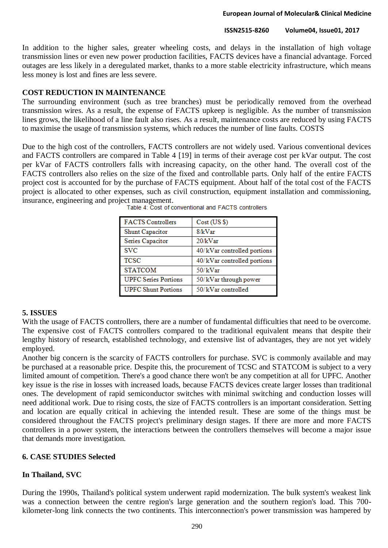### **European Journal of Molecular& Clinical Medicine**

### **ISSN2515-8260 Volume04, Issue01, 2017**

In addition to the higher sales, greater wheeling costs, and delays in the installation of high voltage transmission lines or even new power production facilities, FACTS devices have a financial advantage. Forced outages are less likely in a deregulated market, thanks to a more stable electricity infrastructure, which means less money is lost and fines are less severe.

# **COST REDUCTION IN MAINTENANCE**

The surrounding environment (such as tree branches) must be periodically removed from the overhead transmission wires. As a result, the expense of FACTS upkeep is negligible. As the number of transmission lines grows, the likelihood of a line fault also rises. As a result, maintenance costs are reduced by using FACTS to maximise the usage of transmission systems, which reduces the number of line faults. COSTS

Due to the high cost of the controllers, FACTS controllers are not widely used. Various conventional devices and FACTS controllers are compared in Table 4 [19] in terms of their average cost per kVar output. The cost per kVar of FACTS controllers falls with increasing capacity, on the other hand. The overall cost of the FACTS controllers also relies on the size of the fixed and controllable parts. Only half of the entire FACTS project cost is accounted for by the purchase of FACTS equipment. About half of the total cost of the FACTS project is allocated to other expenses, such as civil construction, equipment installation and commissioning, insurance, engineering and project management.

| <b>FACTS Controllers</b>    | Cost (US \$)                |
|-----------------------------|-----------------------------|
| Shunt Capacitor             | 8/kVar                      |
| Series Capacitor            | 20/kVar                     |
| <b>SVC</b>                  | 40/kVar controlled portions |
| <b>TCSC</b>                 | 40/kVar controlled portions |
| <b>STATCOM</b>              | 50/kVar                     |
| <b>UPFC Series Portions</b> | 50/kVar through power       |
| <b>UPFC Shunt Portions</b>  | 50/kVar controlled          |

|  |  | Table 4: Cost of conventional and FACTS controllers |  |  |
|--|--|-----------------------------------------------------|--|--|

### **5. ISSUES**

With the usage of FACTS controllers, there are a number of fundamental difficulties that need to be overcome. The expensive cost of FACTS controllers compared to the traditional equivalent means that despite their lengthy history of research, established technology, and extensive list of advantages, they are not yet widely employed.

Another big concern is the scarcity of FACTS controllers for purchase. SVC is commonly available and may be purchased at a reasonable price. Despite this, the procurement of TCSC and STATCOM is subject to a very limited amount of competition. There's a good chance there won't be any competition at all for UPFC. Another key issue is the rise in losses with increased loads, because FACTS devices create larger losses than traditional ones. The development of rapid semiconductor switches with minimal switching and conduction losses will need additional work. Due to rising costs, the size of FACTS controllers is an important consideration. Setting and location are equally critical in achieving the intended result. These are some of the things must be considered throughout the FACTS project's preliminary design stages. If there are more and more FACTS controllers in a power system, the interactions between the controllers themselves will become a major issue that demands more investigation.

# **6. CASE STUDIES Selected**

# **In Thailand, SVC**

During the 1990s, Thailand's political system underwent rapid modernization. The bulk system's weakest link was a connection between the centre region's large generation and the southern region's load. This 700 kilometer-long link connects the two continents. This interconnection's power transmission was hampered by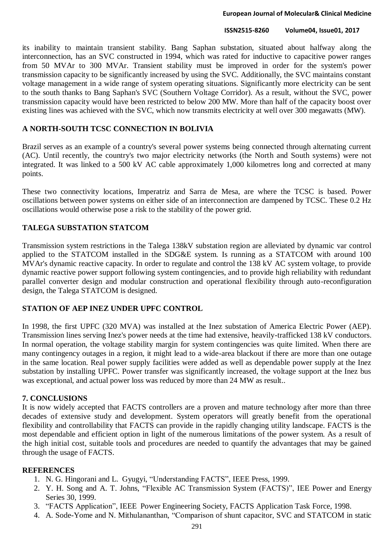its inability to maintain transient stability. Bang Saphan substation, situated about halfway along the interconnection, has an SVC constructed in 1994, which was rated for inductive to capacitive power ranges from 50 MVAr to 300 MVAr. Transient stability must be improved in order for the system's power transmission capacity to be significantly increased by using the SVC. Additionally, the SVC maintains constant voltage management in a wide range of system operating situations. Significantly more electricity can be sent to the south thanks to Bang Saphan's SVC (Southern Voltage Corridor). As a result, without the SVC, power transmission capacity would have been restricted to below 200 MW. More than half of the capacity boost over existing lines was achieved with the SVC, which now transmits electricity at well over 300 megawatts (MW).

### **A NORTH-SOUTH TCSC CONNECTION IN BOLIVIA**

Brazil serves as an example of a country's several power systems being connected through alternating current (AC). Until recently, the country's two major electricity networks (the North and South systems) were not integrated. It was linked to a 500 kV AC cable approximately 1,000 kilometres long and corrected at many points.

These two connectivity locations, Imperatriz and Sarra de Mesa, are where the TCSC is based. Power oscillations between power systems on either side of an interconnection are dampened by TCSC. These 0.2 Hz oscillations would otherwise pose a risk to the stability of the power grid.

# **TALEGA SUBSTATION STATCOM**

Transmission system restrictions in the Talega 138kV substation region are alleviated by dynamic var control applied to the STATCOM installed in the SDG&E system. Is running as a STATCOM with around 100 MVAr's dynamic reactive capacity. In order to regulate and control the 138 kV AC system voltage, to provide dynamic reactive power support following system contingencies, and to provide high reliability with redundant parallel converter design and modular construction and operational flexibility through auto-reconfiguration design, the Talega STATCOM is designed.

# **STATION OF AEP INEZ UNDER UPFC CONTROL**

In 1998, the first UPFC (320 MVA) was installed at the Inez substation of America Electric Power (AEP). Transmission lines serving Inez's power needs at the time had extensive, heavily-trafficked 138 kV conductors. In normal operation, the voltage stability margin for system contingencies was quite limited. When there are many contingency outages in a region, it might lead to a wide-area blackout if there are more than one outage in the same location. Real power supply facilities were added as well as dependable power supply at the Inez substation by installing UPFC. Power transfer was significantly increased, the voltage support at the Inez bus was exceptional, and actual power loss was reduced by more than 24 MW as result..

# **7. CONCLUSIONS**

It is now widely accepted that FACTS controllers are a proven and mature technology after more than three decades of extensive study and development. System operators will greatly benefit from the operational flexibility and controllability that FACTS can provide in the rapidly changing utility landscape. FACTS is the most dependable and efficient option in light of the numerous limitations of the power system. As a result of the high initial cost, suitable tools and procedures are needed to quantify the advantages that may be gained through the usage of FACTS.

### **REFERENCES**

- 1. N. G. Hingorani and L. Gyugyi, "Understanding FACTS", IEEE Press, 1999.
- 2. Y. H. Song and A. T. Johns, "Flexible AC Transmission System (FACTS)", IEE Power and Energy Series 30, 1999.
- 3. "FACTS Application", IEEE Power Engineering Society, FACTS Application Task Force, 1998.
- 4. A. Sode-Yome and N. Mithulananthan, "Comparison of shunt capacitor, SVC and STATCOM in static